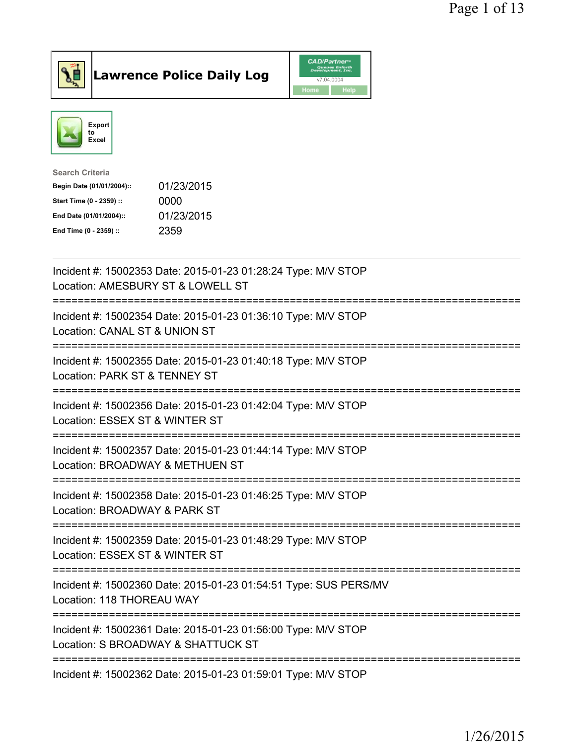



| <b>Search Criteria</b>    |            |
|---------------------------|------------|
| Begin Date (01/01/2004):: | 01/23/2015 |
| Start Time (0 - 2359) ::  | 0000       |
| End Date (01/01/2004)::   | 01/23/2015 |
| End Time (0 - 2359) ::    | 2359       |

| Incident #: 15002353 Date: 2015-01-23 01:28:24 Type: M/V STOP<br>Location: AMESBURY ST & LOWELL ST                                            |
|-----------------------------------------------------------------------------------------------------------------------------------------------|
| Incident #: 15002354 Date: 2015-01-23 01:36:10 Type: M/V STOP<br>Location: CANAL ST & UNION ST                                                |
| Incident #: 15002355 Date: 2015-01-23 01:40:18 Type: M/V STOP<br>Location: PARK ST & TENNEY ST<br>._________                                  |
| Incident #: 15002356 Date: 2015-01-23 01:42:04 Type: M/V STOP<br>Location: ESSEX ST & WINTER ST                                               |
| Incident #: 15002357 Date: 2015-01-23 01:44:14 Type: M/V STOP<br>Location: BROADWAY & METHUEN ST<br>=========================<br>------------ |
| Incident #: 15002358 Date: 2015-01-23 01:46:25 Type: M/V STOP<br>Location: BROADWAY & PARK ST<br>========================                     |
| Incident #: 15002359 Date: 2015-01-23 01:48:29 Type: M/V STOP<br>Location: ESSEX ST & WINTER ST                                               |
| Incident #: 15002360 Date: 2015-01-23 01:54:51 Type: SUS PERS/MV<br>Location: 118 THOREAU WAY                                                 |
| --------------------------------------<br>Incident #: 15002361 Date: 2015-01-23 01:56:00 Type: M/V STOP<br>Location: S BROADWAY & SHATTUCK ST |
| Incident #: 15002362 Date: 2015-01-23 01:59:01 Type: M/V STOP                                                                                 |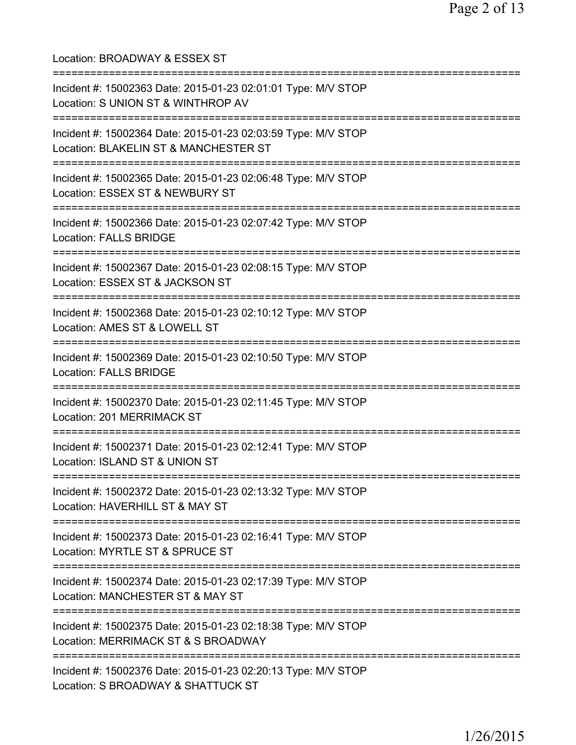| Location: BROADWAY & ESSEX ST                                                                                                            |
|------------------------------------------------------------------------------------------------------------------------------------------|
| Incident #: 15002363 Date: 2015-01-23 02:01:01 Type: M/V STOP<br>Location: S UNION ST & WINTHROP AV<br>=============================     |
| Incident #: 15002364 Date: 2015-01-23 02:03:59 Type: M/V STOP<br>Location: BLAKELIN ST & MANCHESTER ST<br>============================== |
| Incident #: 15002365 Date: 2015-01-23 02:06:48 Type: M/V STOP<br>Location: ESSEX ST & NEWBURY ST<br>:===========================         |
| Incident #: 15002366 Date: 2015-01-23 02:07:42 Type: M/V STOP<br><b>Location: FALLS BRIDGE</b>                                           |
| Incident #: 15002367 Date: 2015-01-23 02:08:15 Type: M/V STOP<br>Location: ESSEX ST & JACKSON ST                                         |
| Incident #: 15002368 Date: 2015-01-23 02:10:12 Type: M/V STOP<br>Location: AMES ST & LOWELL ST                                           |
| Incident #: 15002369 Date: 2015-01-23 02:10:50 Type: M/V STOP<br><b>Location: FALLS BRIDGE</b>                                           |
| Incident #: 15002370 Date: 2015-01-23 02:11:45 Type: M/V STOP<br>Location: 201 MERRIMACK ST                                              |
| Incident #: 15002371 Date: 2015-01-23 02:12:41 Type: M/V STOP<br>Location: ISLAND ST & UNION ST                                          |
| Incident #: 15002372 Date: 2015-01-23 02:13:32 Type: M/V STOP<br>Location: HAVERHILL ST & MAY ST                                         |
| Incident #: 15002373 Date: 2015-01-23 02:16:41 Type: M/V STOP<br>Location: MYRTLE ST & SPRUCE ST                                         |
| Incident #: 15002374 Date: 2015-01-23 02:17:39 Type: M/V STOP<br>Location: MANCHESTER ST & MAY ST                                        |
| Incident #: 15002375 Date: 2015-01-23 02:18:38 Type: M/V STOP<br>Location: MERRIMACK ST & S BROADWAY                                     |
| Incident #: 15002376 Date: 2015-01-23 02:20:13 Type: M/V STOP<br>Location: S BROADWAY & SHATTUCK ST                                      |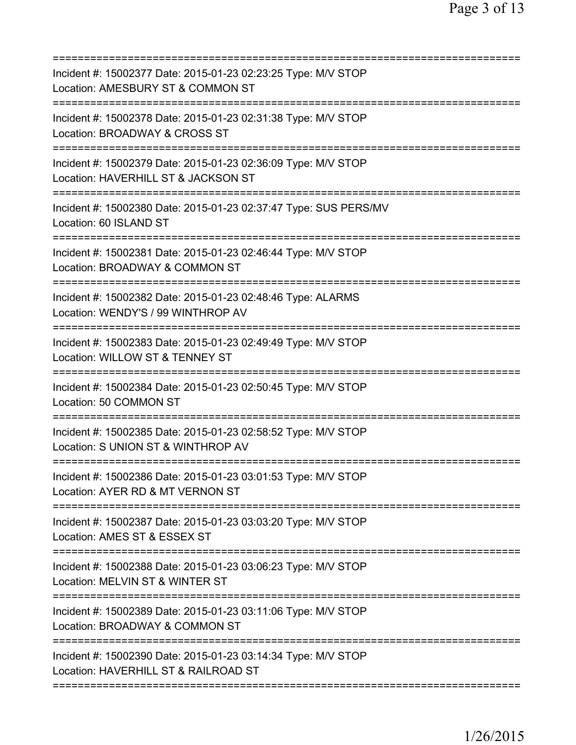| Incident #: 15002377 Date: 2015-01-23 02:23:25 Type: M/V STOP<br>Location: AMESBURY ST & COMMON ST                                       |
|------------------------------------------------------------------------------------------------------------------------------------------|
| Incident #: 15002378 Date: 2015-01-23 02:31:38 Type: M/V STOP<br>Location: BROADWAY & CROSS ST                                           |
| Incident #: 15002379 Date: 2015-01-23 02:36:09 Type: M/V STOP<br>Location: HAVERHILL ST & JACKSON ST<br>:====================            |
| Incident #: 15002380 Date: 2015-01-23 02:37:47 Type: SUS PERS/MV<br>Location: 60 ISLAND ST                                               |
| Incident #: 15002381 Date: 2015-01-23 02:46:44 Type: M/V STOP<br>Location: BROADWAY & COMMON ST                                          |
| Incident #: 15002382 Date: 2015-01-23 02:48:46 Type: ALARMS<br>Location: WENDY'S / 99 WINTHROP AV                                        |
| Incident #: 15002383 Date: 2015-01-23 02:49:49 Type: M/V STOP<br>Location: WILLOW ST & TENNEY ST                                         |
| Incident #: 15002384 Date: 2015-01-23 02:50:45 Type: M/V STOP<br>Location: 50 COMMON ST                                                  |
| Incident #: 15002385 Date: 2015-01-23 02:58:52 Type: M/V STOP<br>Location: S UNION ST & WINTHROP AV                                      |
| Incident #: 15002386 Date: 2015-01-23 03:01:53 Type: M/V STOP<br>Location: AYER RD & MT VERNON ST                                        |
| Incident #: 15002387 Date: 2015-01-23 03:03:20 Type: M/V STOP<br>Location: AMES ST & ESSEX ST                                            |
| Incident #: 15002388 Date: 2015-01-23 03:06:23 Type: M/V STOP<br>Location: MELVIN ST & WINTER ST                                         |
| Incident #: 15002389 Date: 2015-01-23 03:11:06 Type: M/V STOP<br>Location: BROADWAY & COMMON ST                                          |
| ===============================<br>Incident #: 15002390 Date: 2015-01-23 03:14:34 Type: M/V STOP<br>Location: HAVERHILL ST & RAILROAD ST |
|                                                                                                                                          |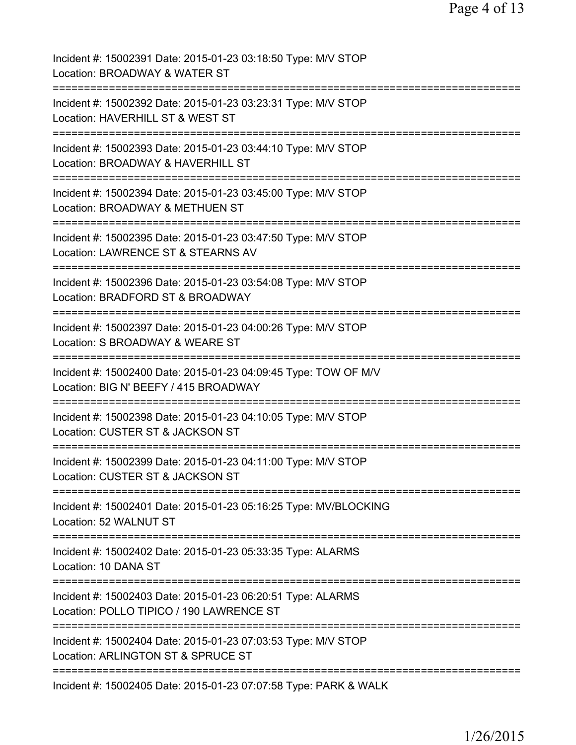| Incident #: 15002391 Date: 2015-01-23 03:18:50 Type: M/V STOP<br>Location: BROADWAY & WATER ST           |
|----------------------------------------------------------------------------------------------------------|
| Incident #: 15002392 Date: 2015-01-23 03:23:31 Type: M/V STOP<br>Location: HAVERHILL ST & WEST ST        |
| Incident #: 15002393 Date: 2015-01-23 03:44:10 Type: M/V STOP<br>Location: BROADWAY & HAVERHILL ST       |
| Incident #: 15002394 Date: 2015-01-23 03:45:00 Type: M/V STOP<br>Location: BROADWAY & METHUEN ST         |
| Incident #: 15002395 Date: 2015-01-23 03:47:50 Type: M/V STOP<br>Location: LAWRENCE ST & STEARNS AV      |
| Incident #: 15002396 Date: 2015-01-23 03:54:08 Type: M/V STOP<br>Location: BRADFORD ST & BROADWAY        |
| Incident #: 15002397 Date: 2015-01-23 04:00:26 Type: M/V STOP<br>Location: S BROADWAY & WEARE ST         |
| Incident #: 15002400 Date: 2015-01-23 04:09:45 Type: TOW OF M/V<br>Location: BIG N' BEEFY / 415 BROADWAY |
| Incident #: 15002398 Date: 2015-01-23 04:10:05 Type: M/V STOP<br>Location: CUSTER ST & JACKSON ST        |
| Incident #: 15002399 Date: 2015-01-23 04:11:00 Type: M/V STOP<br>Location: CUSTER ST & JACKSON ST        |
| Incident #: 15002401 Date: 2015-01-23 05:16:25 Type: MV/BLOCKING<br>Location: 52 WALNUT ST               |
| Incident #: 15002402 Date: 2015-01-23 05:33:35 Type: ALARMS<br>Location: 10 DANA ST                      |
| Incident #: 15002403 Date: 2015-01-23 06:20:51 Type: ALARMS<br>Location: POLLO TIPICO / 190 LAWRENCE ST  |
| Incident #: 15002404 Date: 2015-01-23 07:03:53 Type: M/V STOP<br>Location: ARLINGTON ST & SPRUCE ST      |
| Incident #: 15002405 Date: 2015-01-23 07:07:58 Type: PARK & WALK                                         |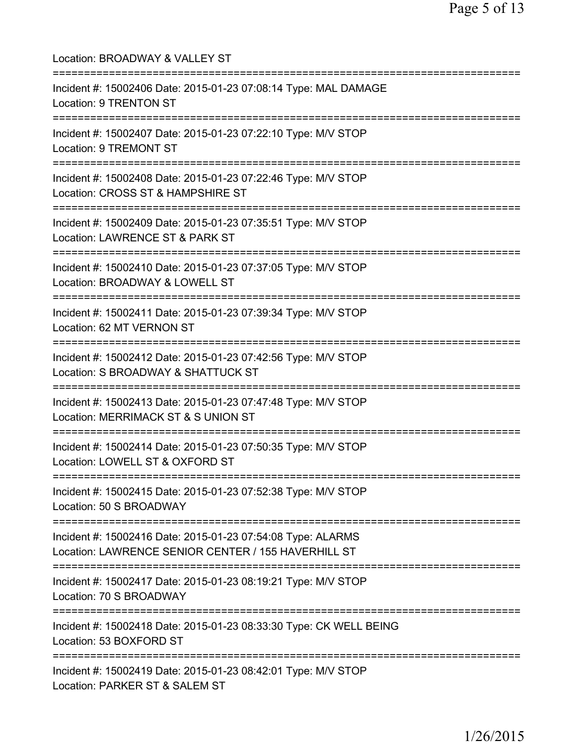Location: BROADWAY & VALLEY ST =========================================================================== Incident #: 15002406 Date: 2015-01-23 07:08:14 Type: MAL DAMAGE Location: 9 TRENTON ST =========================================================================== Incident #: 15002407 Date: 2015-01-23 07:22:10 Type: M/V STOP Location: 9 TREMONT ST =========================================================================== Incident #: 15002408 Date: 2015-01-23 07:22:46 Type: M/V STOP Location: CROSS ST & HAMPSHIRE ST =========================================================================== Incident #: 15002409 Date: 2015-01-23 07:35:51 Type: M/V STOP Location: LAWRENCE ST & PARK ST =========================================================================== Incident #: 15002410 Date: 2015-01-23 07:37:05 Type: M/V STOP Location: BROADWAY & LOWELL ST =========================================================================== Incident #: 15002411 Date: 2015-01-23 07:39:34 Type: M/V STOP Location: 62 MT VERNON ST =========================================================================== Incident #: 15002412 Date: 2015-01-23 07:42:56 Type: M/V STOP Location: S BROADWAY & SHATTUCK ST =========================================================================== Incident #: 15002413 Date: 2015-01-23 07:47:48 Type: M/V STOP Location: MERRIMACK ST & S UNION ST =========================================================================== Incident #: 15002414 Date: 2015-01-23 07:50:35 Type: M/V STOP Location: LOWELL ST & OXFORD ST =========================================================================== Incident #: 15002415 Date: 2015-01-23 07:52:38 Type: M/V STOP Location: 50 S BROADWAY =========================================================================== Incident #: 15002416 Date: 2015-01-23 07:54:08 Type: ALARMS Location: LAWRENCE SENIOR CENTER / 155 HAVERHILL ST =========================================================================== Incident #: 15002417 Date: 2015-01-23 08:19:21 Type: M/V STOP Location: 70 S BROADWAY =========================================================================== Incident #: 15002418 Date: 2015-01-23 08:33:30 Type: CK WELL BEING Location: 53 BOXFORD ST =========================================================================== Incident #: 15002419 Date: 2015-01-23 08:42:01 Type: M/V STOP Location: PARKER ST & SALEM ST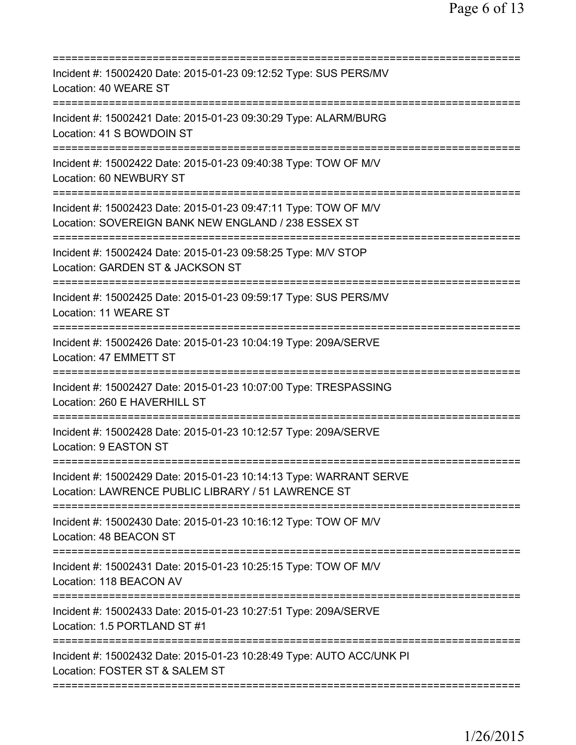| Incident #: 15002420 Date: 2015-01-23 09:12:52 Type: SUS PERS/MV<br>Location: 40 WEARE ST                                                                                |
|--------------------------------------------------------------------------------------------------------------------------------------------------------------------------|
| Incident #: 15002421 Date: 2015-01-23 09:30:29 Type: ALARM/BURG<br>Location: 41 S BOWDOIN ST                                                                             |
| Incident #: 15002422 Date: 2015-01-23 09:40:38 Type: TOW OF M/V<br>Location: 60 NEWBURY ST                                                                               |
| Incident #: 15002423 Date: 2015-01-23 09:47:11 Type: TOW OF M/V<br>Location: SOVEREIGN BANK NEW ENGLAND / 238 ESSEX ST<br>===========================                    |
| Incident #: 15002424 Date: 2015-01-23 09:58:25 Type: M/V STOP<br>Location: GARDEN ST & JACKSON ST                                                                        |
| Incident #: 15002425 Date: 2015-01-23 09:59:17 Type: SUS PERS/MV<br>Location: 11 WEARE ST                                                                                |
| =====================================<br>Incident #: 15002426 Date: 2015-01-23 10:04:19 Type: 209A/SERVE<br>Location: 47 EMMETT ST<br>================================== |
| Incident #: 15002427 Date: 2015-01-23 10:07:00 Type: TRESPASSING<br>Location: 260 E HAVERHILL ST                                                                         |
| Incident #: 15002428 Date: 2015-01-23 10:12:57 Type: 209A/SERVE<br>Location: 9 EASTON ST                                                                                 |
| Incident #: 15002429 Date: 2015-01-23 10:14:13 Type: WARRANT SERVE<br>Location: LAWRENCE PUBLIC LIBRARY / 51 LAWRENCE ST                                                 |
| Incident #: 15002430 Date: 2015-01-23 10:16:12 Type: TOW OF M/V<br>Location: 48 BEACON ST                                                                                |
| Incident #: 15002431 Date: 2015-01-23 10:25:15 Type: TOW OF M/V<br>Location: 118 BEACON AV                                                                               |
| Incident #: 15002433 Date: 2015-01-23 10:27:51 Type: 209A/SERVE<br>Location: 1.5 PORTLAND ST #1                                                                          |
| Incident #: 15002432 Date: 2015-01-23 10:28:49 Type: AUTO ACC/UNK PI<br>Location: FOSTER ST & SALEM ST                                                                   |
|                                                                                                                                                                          |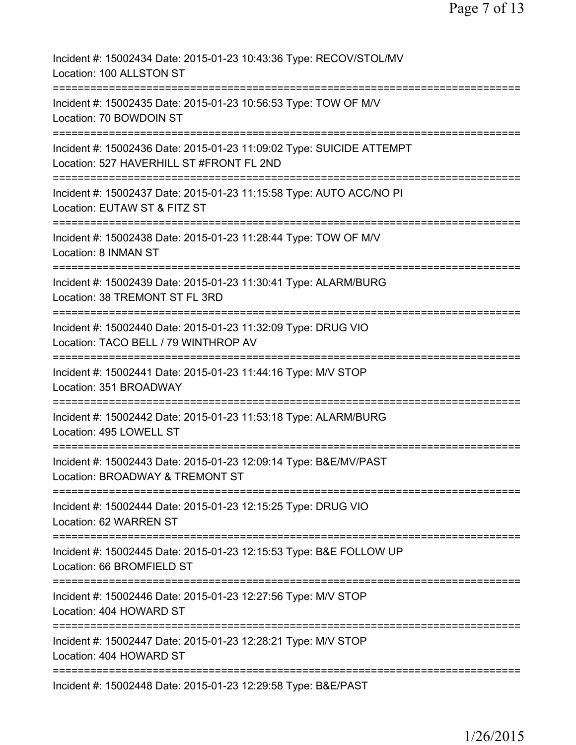| Incident #: 15002434 Date: 2015-01-23 10:43:36 Type: RECOV/STOL/MV<br>Location: 100 ALLSTON ST                      |
|---------------------------------------------------------------------------------------------------------------------|
| Incident #: 15002435 Date: 2015-01-23 10:56:53 Type: TOW OF M/V<br>Location: 70 BOWDOIN ST                          |
| Incident #: 15002436 Date: 2015-01-23 11:09:02 Type: SUICIDE ATTEMPT<br>Location: 527 HAVERHILL ST #FRONT FL 2ND    |
| Incident #: 15002437 Date: 2015-01-23 11:15:58 Type: AUTO ACC/NO PI<br>Location: EUTAW ST & FITZ ST                 |
| Incident #: 15002438 Date: 2015-01-23 11:28:44 Type: TOW OF M/V<br>Location: 8 INMAN ST                             |
| Incident #: 15002439 Date: 2015-01-23 11:30:41 Type: ALARM/BURG<br>Location: 38 TREMONT ST FL 3RD                   |
| Incident #: 15002440 Date: 2015-01-23 11:32:09 Type: DRUG VIO<br>Location: TACO BELL / 79 WINTHROP AV               |
| :=======================<br>Incident #: 15002441 Date: 2015-01-23 11:44:16 Type: M/V STOP<br>Location: 351 BROADWAY |
| Incident #: 15002442 Date: 2015-01-23 11:53:18 Type: ALARM/BURG<br>Location: 495 LOWELL ST                          |
| Incident #: 15002443 Date: 2015-01-23 12:09:14 Type: B&E/MV/PAST<br>Location: BROADWAY & TREMONT ST                 |
| Incident #: 15002444 Date: 2015-01-23 12:15:25 Type: DRUG VIO<br>Location: 62 WARREN ST                             |
| Incident #: 15002445 Date: 2015-01-23 12:15:53 Type: B&E FOLLOW UP<br>Location: 66 BROMFIELD ST                     |
| Incident #: 15002446 Date: 2015-01-23 12:27:56 Type: M/V STOP<br>Location: 404 HOWARD ST                            |
| Incident #: 15002447 Date: 2015-01-23 12:28:21 Type: M/V STOP<br>Location: 404 HOWARD ST                            |
| Incident #: 15002448 Date: 2015-01-23 12:29:58 Type: B&E/PAST                                                       |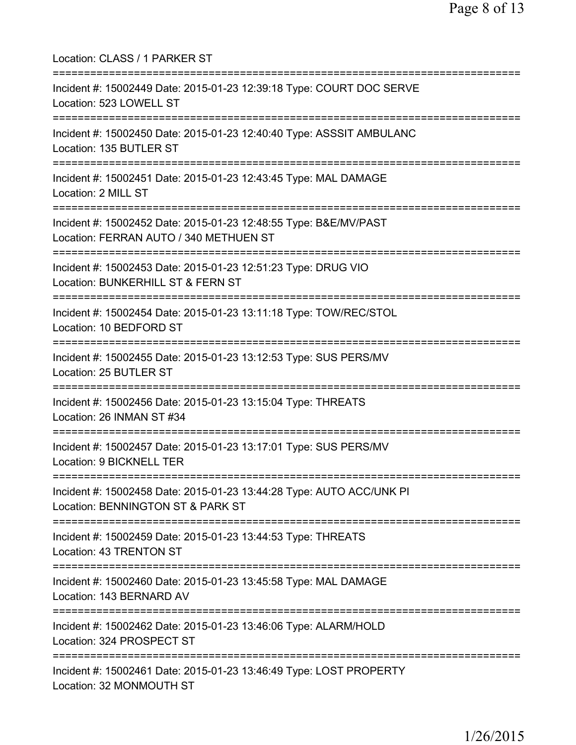Location: CLASS / 1 PARKER ST =========================================================================== Incident #: 15002449 Date: 2015-01-23 12:39:18 Type: COURT DOC SERVE Location: 523 LOWELL ST =========================================================================== Incident #: 15002450 Date: 2015-01-23 12:40:40 Type: ASSSIT AMBULANC Location: 135 BUTLER ST =========================================================================== Incident #: 15002451 Date: 2015-01-23 12:43:45 Type: MAL DAMAGE Location: 2 MILL ST =========================================================================== Incident #: 15002452 Date: 2015-01-23 12:48:55 Type: B&E/MV/PAST Location: FERRAN AUTO / 340 METHUEN ST =========================================================================== Incident #: 15002453 Date: 2015-01-23 12:51:23 Type: DRUG VIO Location: BUNKERHILL ST & FERN ST =========================================================================== Incident #: 15002454 Date: 2015-01-23 13:11:18 Type: TOW/REC/STOL Location: 10 BEDFORD ST =========================================================================== Incident #: 15002455 Date: 2015-01-23 13:12:53 Type: SUS PERS/MV Location: 25 BUTLER ST =========================================================================== Incident #: 15002456 Date: 2015-01-23 13:15:04 Type: THREATS Location: 26 INMAN ST #34 =========================================================================== Incident #: 15002457 Date: 2015-01-23 13:17:01 Type: SUS PERS/MV Location: 9 BICKNELL TER =========================================================================== Incident #: 15002458 Date: 2015-01-23 13:44:28 Type: AUTO ACC/UNK PI Location: BENNINGTON ST & PARK ST =========================================================================== Incident #: 15002459 Date: 2015-01-23 13:44:53 Type: THREATS Location: 43 TRENTON ST =========================================================================== Incident #: 15002460 Date: 2015-01-23 13:45:58 Type: MAL DAMAGE Location: 143 BERNARD AV =========================================================================== Incident #: 15002462 Date: 2015-01-23 13:46:06 Type: ALARM/HOLD Location: 324 PROSPECT ST =========================================================================== Incident #: 15002461 Date: 2015-01-23 13:46:49 Type: LOST PROPERTY Location: 32 MONMOUTH ST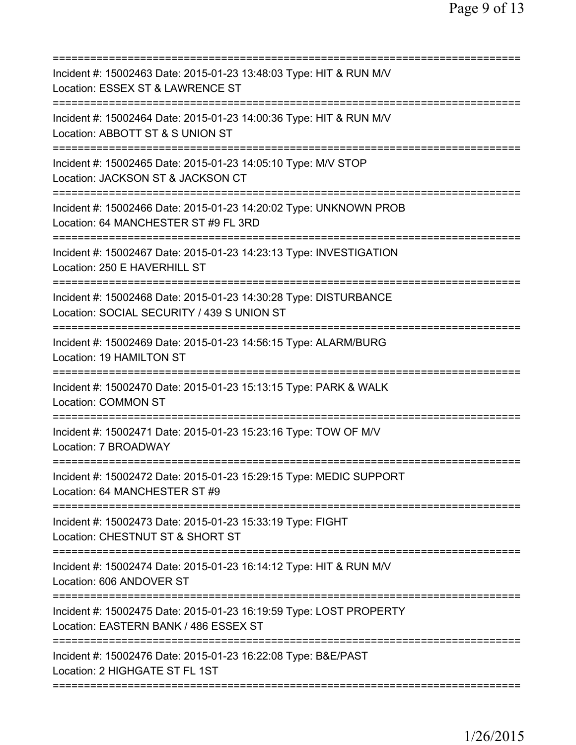| Incident #: 15002463 Date: 2015-01-23 13:48:03 Type: HIT & RUN M/V<br>Location: ESSEX ST & LAWRENCE ST                                                   |
|----------------------------------------------------------------------------------------------------------------------------------------------------------|
| Incident #: 15002464 Date: 2015-01-23 14:00:36 Type: HIT & RUN M/V<br>Location: ABBOTT ST & S UNION ST                                                   |
| Incident #: 15002465 Date: 2015-01-23 14:05:10 Type: M/V STOP<br>Location: JACKSON ST & JACKSON CT<br>===========================                        |
| Incident #: 15002466 Date: 2015-01-23 14:20:02 Type: UNKNOWN PROB<br>Location: 64 MANCHESTER ST #9 FL 3RD                                                |
| Incident #: 15002467 Date: 2015-01-23 14:23:13 Type: INVESTIGATION<br>Location: 250 E HAVERHILL ST                                                       |
| ======================================<br>Incident #: 15002468 Date: 2015-01-23 14:30:28 Type: DISTURBANCE<br>Location: SOCIAL SECURITY / 439 S UNION ST |
| Incident #: 15002469 Date: 2015-01-23 14:56:15 Type: ALARM/BURG<br>Location: 19 HAMILTON ST                                                              |
| Incident #: 15002470 Date: 2015-01-23 15:13:15 Type: PARK & WALK<br><b>Location: COMMON ST</b>                                                           |
| Incident #: 15002471 Date: 2015-01-23 15:23:16 Type: TOW OF M/V<br>Location: 7 BROADWAY                                                                  |
| Incident #: 15002472 Date: 2015-01-23 15:29:15 Type: MEDIC SUPPORT<br>Location: 64 MANCHESTER ST #9                                                      |
| Incident #: 15002473 Date: 2015-01-23 15:33:19 Type: FIGHT<br>Location: CHESTNUT ST & SHORT ST                                                           |
| Incident #: 15002474 Date: 2015-01-23 16:14:12 Type: HIT & RUN M/V<br>Location: 606 ANDOVER ST                                                           |
| Incident #: 15002475 Date: 2015-01-23 16:19:59 Type: LOST PROPERTY<br>Location: EASTERN BANK / 486 ESSEX ST                                              |
| Incident #: 15002476 Date: 2015-01-23 16:22:08 Type: B&E/PAST<br>Location: 2 HIGHGATE ST FL 1ST                                                          |
|                                                                                                                                                          |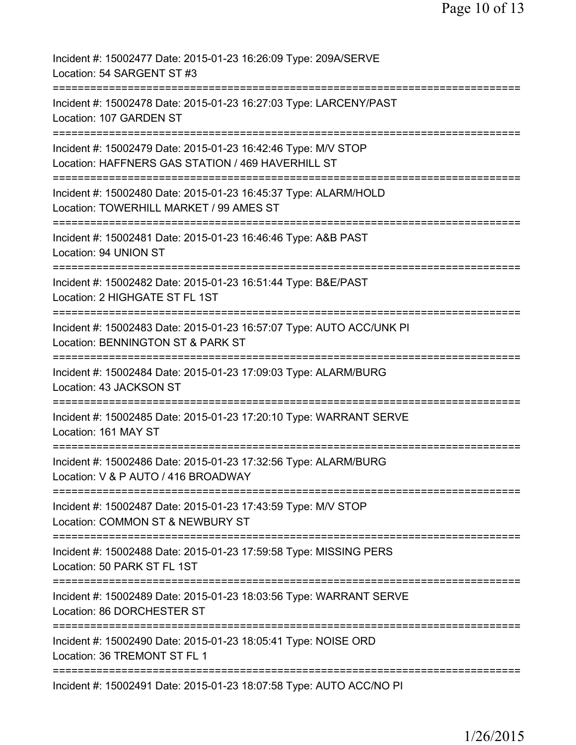| Incident #: 15002477 Date: 2015-01-23 16:26:09 Type: 209A/SERVE<br>Location: 54 SARGENT ST #3                             |
|---------------------------------------------------------------------------------------------------------------------------|
| Incident #: 15002478 Date: 2015-01-23 16:27:03 Type: LARCENY/PAST<br>Location: 107 GARDEN ST                              |
| Incident #: 15002479 Date: 2015-01-23 16:42:46 Type: M/V STOP<br>Location: HAFFNERS GAS STATION / 469 HAVERHILL ST        |
| Incident #: 15002480 Date: 2015-01-23 16:45:37 Type: ALARM/HOLD<br>Location: TOWERHILL MARKET / 99 AMES ST                |
| ===============================<br>Incident #: 15002481 Date: 2015-01-23 16:46:46 Type: A&B PAST<br>Location: 94 UNION ST |
| Incident #: 15002482 Date: 2015-01-23 16:51:44 Type: B&E/PAST<br>Location: 2 HIGHGATE ST FL 1ST                           |
| Incident #: 15002483 Date: 2015-01-23 16:57:07 Type: AUTO ACC/UNK PI<br>Location: BENNINGTON ST & PARK ST                 |
| Incident #: 15002484 Date: 2015-01-23 17:09:03 Type: ALARM/BURG<br>Location: 43 JACKSON ST                                |
| Incident #: 15002485 Date: 2015-01-23 17:20:10 Type: WARRANT SERVE<br>Location: 161 MAY ST                                |
| Incident #: 15002486 Date: 2015-01-23 17:32:56 Type: ALARM/BURG<br>Location: V & P AUTO / 416 BROADWAY                    |
| Incident #: 15002487 Date: 2015-01-23 17:43:59 Type: M/V STOP<br>Location: COMMON ST & NEWBURY ST                         |
| Incident #: 15002488 Date: 2015-01-23 17:59:58 Type: MISSING PERS<br>Location: 50 PARK ST FL 1ST                          |
| Incident #: 15002489 Date: 2015-01-23 18:03:56 Type: WARRANT SERVE<br>Location: 86 DORCHESTER ST                          |
| Incident #: 15002490 Date: 2015-01-23 18:05:41 Type: NOISE ORD<br>Location: 36 TREMONT ST FL 1                            |
| Incident #: 15002491 Date: 2015-01-23 18:07:58 Type: AUTO ACC/NO PI                                                       |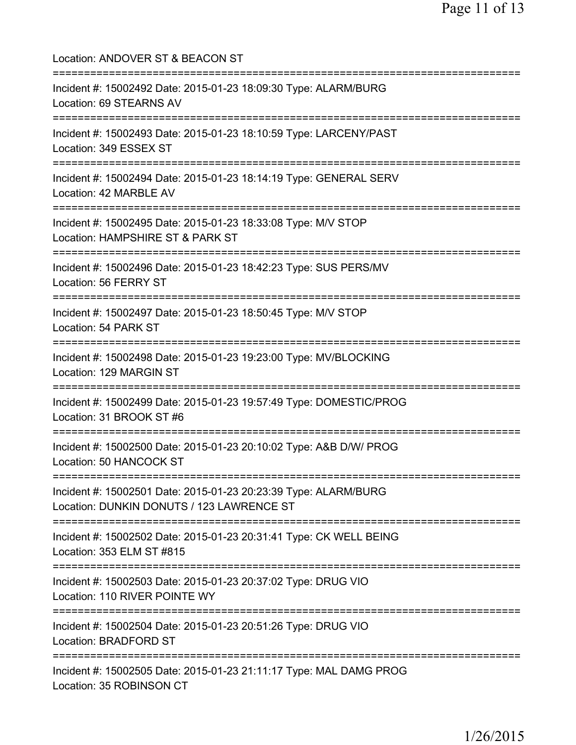Location: ANDOVER ST & BEACON ST =========================================================================== Incident #: 15002492 Date: 2015-01-23 18:09:30 Type: ALARM/BURG Location: 69 STEARNS AV =========================================================================== Incident #: 15002493 Date: 2015-01-23 18:10:59 Type: LARCENY/PAST Location: 349 ESSEX ST =========================================================================== Incident #: 15002494 Date: 2015-01-23 18:14:19 Type: GENERAL SERV Location: 42 MARBLE AV =========================================================================== Incident #: 15002495 Date: 2015-01-23 18:33:08 Type: M/V STOP Location: HAMPSHIRE ST & PARK ST =========================================================================== Incident #: 15002496 Date: 2015-01-23 18:42:23 Type: SUS PERS/MV Location: 56 FERRY ST =========================================================================== Incident #: 15002497 Date: 2015-01-23 18:50:45 Type: M/V STOP Location: 54 PARK ST =========================================================================== Incident #: 15002498 Date: 2015-01-23 19:23:00 Type: MV/BLOCKING Location: 129 MARGIN ST =========================================================================== Incident #: 15002499 Date: 2015-01-23 19:57:49 Type: DOMESTIC/PROG Location: 31 BROOK ST #6 =========================================================================== Incident #: 15002500 Date: 2015-01-23 20:10:02 Type: A&B D/W/ PROG Location: 50 HANCOCK ST =========================================================================== Incident #: 15002501 Date: 2015-01-23 20:23:39 Type: ALARM/BURG Location: DUNKIN DONUTS / 123 LAWRENCE ST =========================================================================== Incident #: 15002502 Date: 2015-01-23 20:31:41 Type: CK WELL BEING Location: 353 ELM ST #815 =========================================================================== Incident #: 15002503 Date: 2015-01-23 20:37:02 Type: DRUG VIO Location: 110 RIVER POINTE WY =========================================================================== Incident #: 15002504 Date: 2015-01-23 20:51:26 Type: DRUG VIO Location: BRADFORD ST =========================================================================== Incident #: 15002505 Date: 2015-01-23 21:11:17 Type: MAL DAMG PROG Location: 35 ROBINSON CT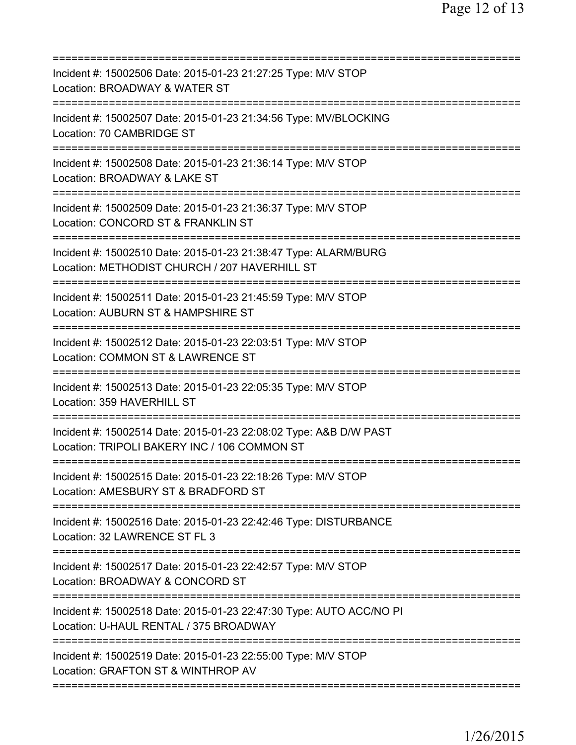| Incident #: 15002506 Date: 2015-01-23 21:27:25 Type: M/V STOP<br>Location: BROADWAY & WATER ST<br>======================                   |
|--------------------------------------------------------------------------------------------------------------------------------------------|
| Incident #: 15002507 Date: 2015-01-23 21:34:56 Type: MV/BLOCKING<br>Location: 70 CAMBRIDGE ST                                              |
| Incident #: 15002508 Date: 2015-01-23 21:36:14 Type: M/V STOP<br>Location: BROADWAY & LAKE ST                                              |
| Incident #: 15002509 Date: 2015-01-23 21:36:37 Type: M/V STOP<br>Location: CONCORD ST & FRANKLIN ST                                        |
| Incident #: 15002510 Date: 2015-01-23 21:38:47 Type: ALARM/BURG<br>Location: METHODIST CHURCH / 207 HAVERHILL ST                           |
| ===========================<br>Incident #: 15002511 Date: 2015-01-23 21:45:59 Type: M/V STOP<br>Location: AUBURN ST & HAMPSHIRE ST         |
| Incident #: 15002512 Date: 2015-01-23 22:03:51 Type: M/V STOP<br>Location: COMMON ST & LAWRENCE ST<br>==============================       |
| Incident #: 15002513 Date: 2015-01-23 22:05:35 Type: M/V STOP<br>Location: 359 HAVERHILL ST                                                |
| Incident #: 15002514 Date: 2015-01-23 22:08:02 Type: A&B D/W PAST<br>Location: TRIPOLI BAKERY INC / 106 COMMON ST                          |
| Incident #: 15002515 Date: 2015-01-23 22:18:26 Type: M/V STOP<br>Location: AMESBURY ST & BRADFORD ST                                       |
| Incident #: 15002516 Date: 2015-01-23 22:42:46 Type: DISTURBANCE<br>Location: 32 LAWRENCE ST FL 3                                          |
| Incident #: 15002517 Date: 2015-01-23 22:42:57 Type: M/V STOP<br>Location: BROADWAY & CONCORD ST                                           |
| Incident #: 15002518 Date: 2015-01-23 22:47:30 Type: AUTO ACC/NO PI<br>Location: U-HAUL RENTAL / 375 BROADWAY                              |
| ===================================<br>Incident #: 15002519 Date: 2015-01-23 22:55:00 Type: M/V STOP<br>Location: GRAFTON ST & WINTHROP AV |
|                                                                                                                                            |